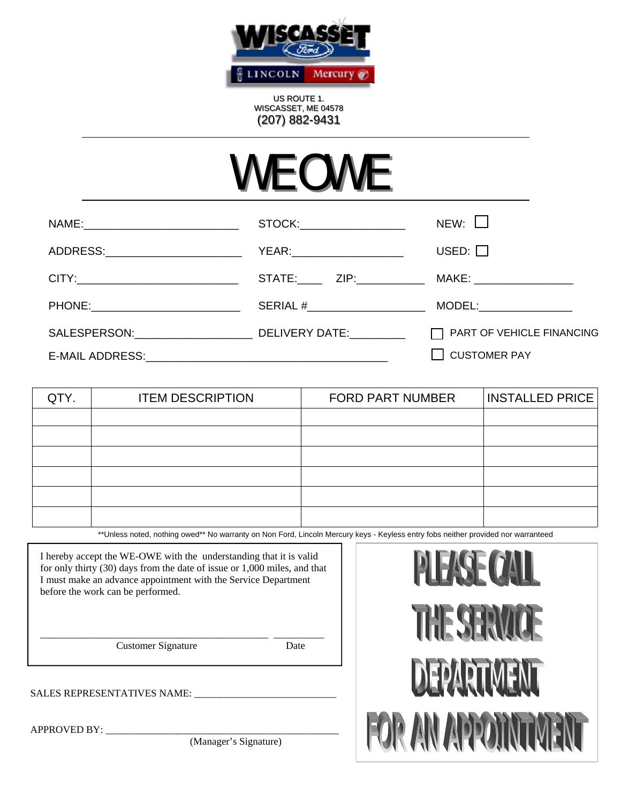

US ROUTE 1. WISCASSET, ME 04578 (207) 882-9431

## WE OWE

|                                    | STOCK:                        | $NEW:$ $\Box$                    |
|------------------------------------|-------------------------------|----------------------------------|
| ADDRESS:__________________________ | YEAR:________________________ | USED: $\Box$                     |
|                                    |                               |                                  |
|                                    |                               |                                  |
| SALESPERSON: DELIVERY DATE:        |                               | $\Box$ PART OF VEHICLE FINANCING |
|                                    |                               | $\Box$ CUSTOMER PAY              |

| QTY. | <b>ITEM DESCRIPTION</b> | <b>FORD PART NUMBER</b> | <b>INSTALLED PRICE</b> |
|------|-------------------------|-------------------------|------------------------|
|      |                         |                         |                        |
|      |                         |                         |                        |
|      |                         |                         |                        |
|      |                         |                         |                        |
|      |                         |                         |                        |
|      |                         |                         |                        |

\*\*Unless noted, nothing owed\*\* No warranty on Non Ford, Lincoln Mercury keys - Keyless entry fobs neither provided nor warranteed

I hereby accept the WE-OWE with the understanding that it is valid for only thirty (30) days from the date of issue or 1,000 miles, and that I must make an advance appointment with the Service Department before the work can be performed.

\_\_\_\_\_\_\_\_\_\_\_\_\_\_\_\_\_\_\_\_\_\_\_\_\_\_\_\_\_\_\_\_\_\_\_\_\_\_\_\_\_\_\_\_\_ \_\_\_\_\_\_\_\_\_\_

Customer Signature Date

SALES REPRESENTATIVES NAME:

 $APPROVED BY:$ 

(Manager's Signature)